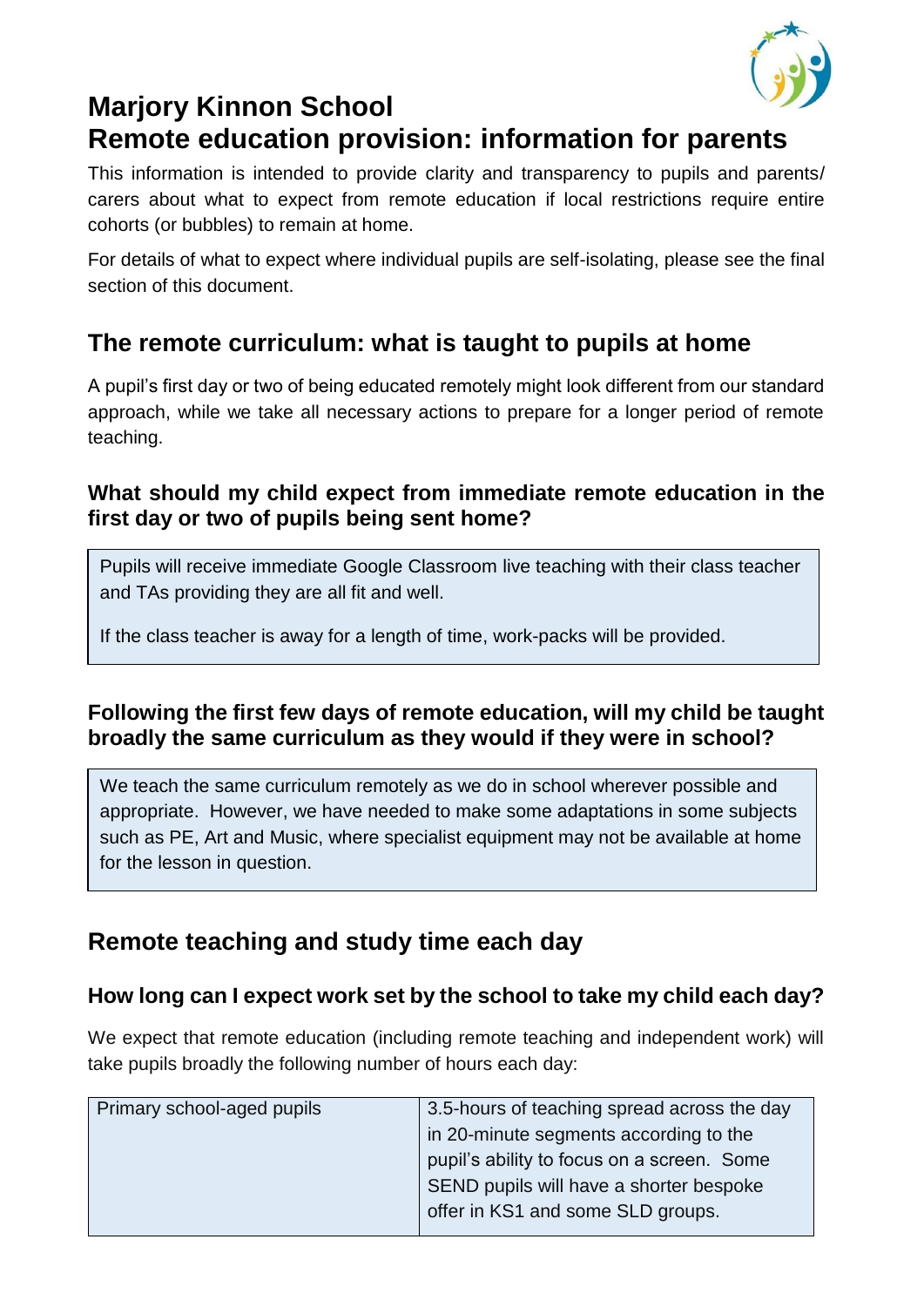

# **Marjory Kinnon School Remote education provision: information for parents**

This information is intended to provide clarity and transparency to pupils and parents/ carers about what to expect from remote education if local restrictions require entire cohorts (or bubbles) to remain at home.

For details of what to expect where individual pupils are self-isolating, please see the final section of this document.

## **The remote curriculum: what is taught to pupils at home**

A pupil's first day or two of being educated remotely might look different from our standard approach, while we take all necessary actions to prepare for a longer period of remote teaching.

### **What should my child expect from immediate remote education in the first day or two of pupils being sent home?**

Pupils will receive immediate Google Classroom live teaching with their class teacher and TAs providing they are all fit and well.

If the class teacher is away for a length of time, work-packs will be provided.

### **Following the first few days of remote education, will my child be taught broadly the same curriculum as they would if they were in school?**

We teach the same curriculum remotely as we do in school wherever possible and appropriate. However, we have needed to make some adaptations in some subjects such as PE, Art and Music, where specialist equipment may not be available at home for the lesson in question.

## **Remote teaching and study time each day**

### **How long can I expect work set by the school to take my child each day?**

We expect that remote education (including remote teaching and independent work) will take pupils broadly the following number of hours each day:

| Primary school-aged pupils | 3.5-hours of teaching spread across the day |
|----------------------------|---------------------------------------------|
|                            | in 20-minute segments according to the      |
|                            | pupil's ability to focus on a screen. Some  |
|                            | SEND pupils will have a shorter bespoke     |
|                            | offer in KS1 and some SLD groups.           |
|                            |                                             |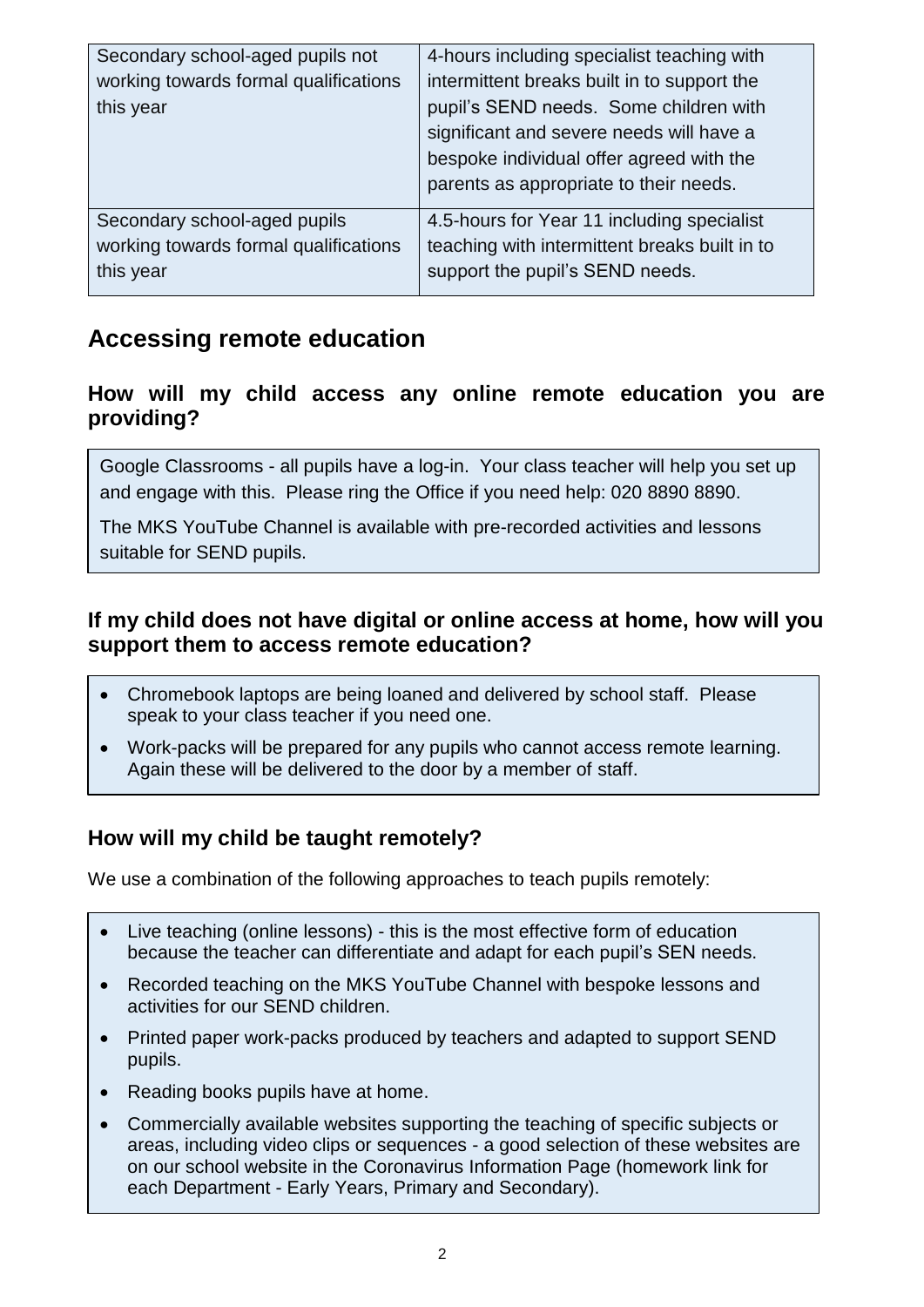| Secondary school-aged pupils not<br>working towards formal qualifications<br>this year | 4-hours including specialist teaching with<br>intermittent breaks built in to support the<br>pupil's SEND needs. Some children with<br>significant and severe needs will have a<br>bespoke individual offer agreed with the<br>parents as appropriate to their needs. |
|----------------------------------------------------------------------------------------|-----------------------------------------------------------------------------------------------------------------------------------------------------------------------------------------------------------------------------------------------------------------------|
| Secondary school-aged pupils                                                           | 4.5-hours for Year 11 including specialist                                                                                                                                                                                                                            |
| working towards formal qualifications                                                  | teaching with intermittent breaks built in to                                                                                                                                                                                                                         |
| this year                                                                              | support the pupil's SEND needs.                                                                                                                                                                                                                                       |

## **Accessing remote education**

#### **How will my child access any online remote education you are providing?**

Google Classrooms - all pupils have a log-in. Your class teacher will help you set up and engage with this. Please ring the Office if you need help: 020 8890 8890.

The MKS YouTube Channel is available with pre-recorded activities and lessons suitable for SEND pupils.

### **If my child does not have digital or online access at home, how will you support them to access remote education?**

- Chromebook laptops are being loaned and delivered by school staff. Please speak to your class teacher if you need one.
- Work-packs will be prepared for any pupils who cannot access remote learning. Again these will be delivered to the door by a member of staff.

### **How will my child be taught remotely?**

We use a combination of the following approaches to teach pupils remotely:

- Live teaching (online lessons) this is the most effective form of education because the teacher can differentiate and adapt for each pupil's SEN needs.
- Recorded teaching on the MKS YouTube Channel with bespoke lessons and activities for our SEND children.
- Printed paper work-packs produced by teachers and adapted to support SEND pupils.
- Reading books pupils have at home.
- Commercially available websites supporting the teaching of specific subjects or areas, including video clips or sequences - a good selection of these websites are on our school website in the Coronavirus Information Page (homework link for each Department - Early Years, Primary and Secondary).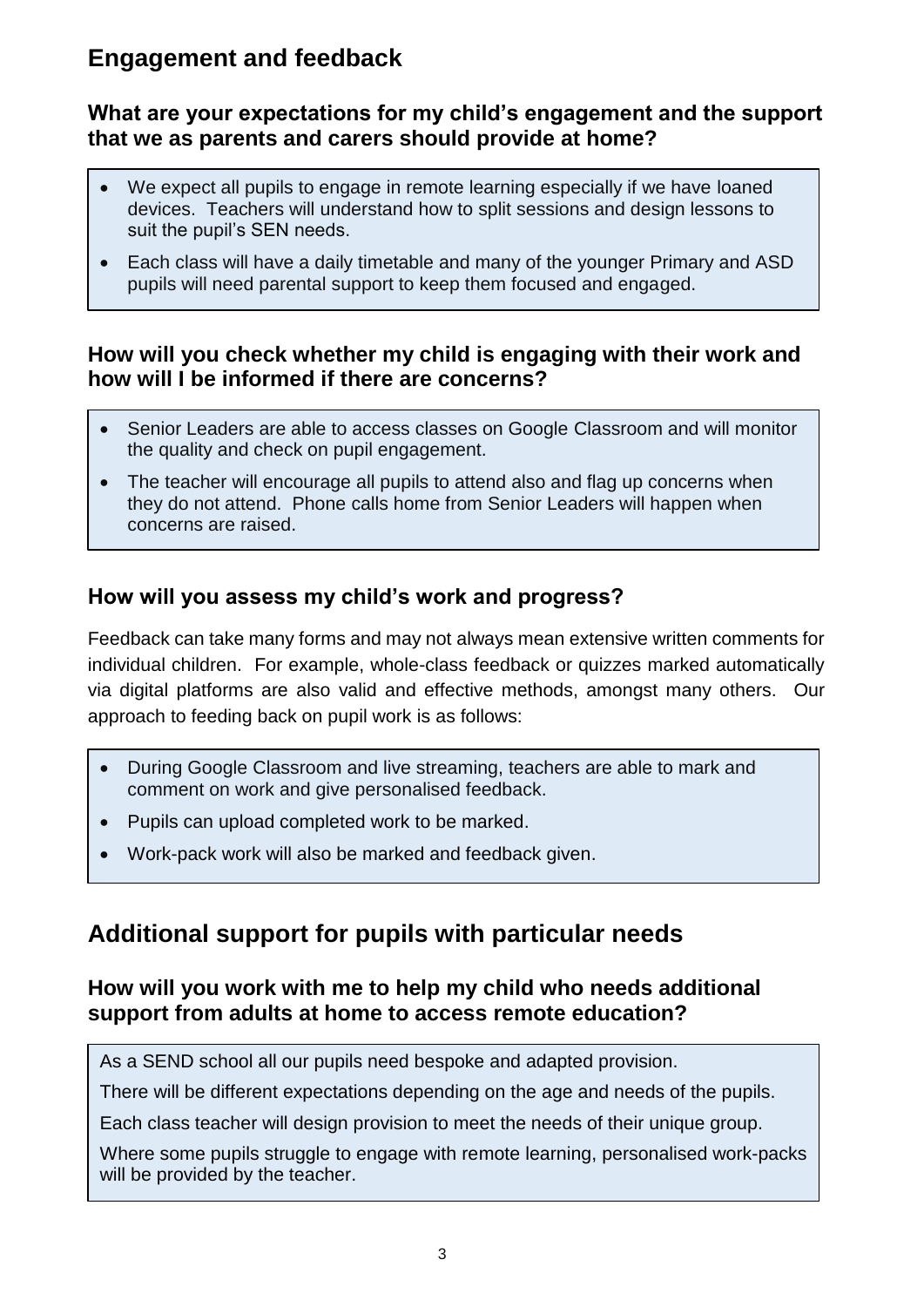## **Engagement and feedback**

#### **What are your expectations for my child's engagement and the support that we as parents and carers should provide at home?**

- We expect all pupils to engage in remote learning especially if we have loaned devices. Teachers will understand how to split sessions and design lessons to suit the pupil's SEN needs.
- Each class will have a daily timetable and many of the younger Primary and ASD pupils will need parental support to keep them focused and engaged.

#### **How will you check whether my child is engaging with their work and how will I be informed if there are concerns?**

- Senior Leaders are able to access classes on Google Classroom and will monitor the quality and check on pupil engagement.
- The teacher will encourage all pupils to attend also and flag up concerns when they do not attend. Phone calls home from Senior Leaders will happen when concerns are raised.

### **How will you assess my child's work and progress?**

Feedback can take many forms and may not always mean extensive written comments for individual children. For example, whole-class feedback or quizzes marked automatically via digital platforms are also valid and effective methods, amongst many others. Our approach to feeding back on pupil work is as follows:

- During Google Classroom and live streaming, teachers are able to mark and comment on work and give personalised feedback.
- Pupils can upload completed work to be marked.
- Work-pack work will also be marked and feedback given.

### **Additional support for pupils with particular needs**

#### **How will you work with me to help my child who needs additional support from adults at home to access remote education?**

As a SEND school all our pupils need bespoke and adapted provision.

There will be different expectations depending on the age and needs of the pupils.

Each class teacher will design provision to meet the needs of their unique group.

Where some pupils struggle to engage with remote learning, personalised work-packs will be provided by the teacher.